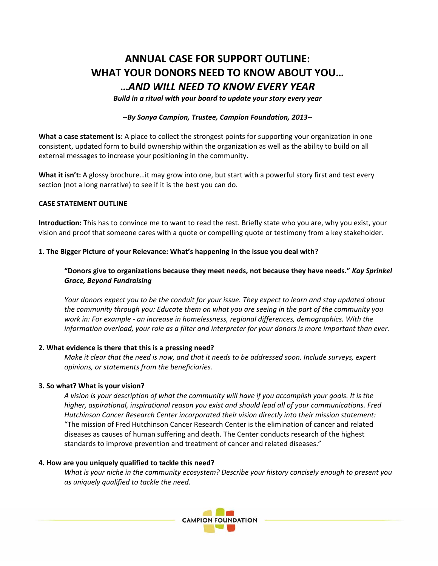# **ANNUAL CASE FOR SUPPORT OUTLINE: WHAT YOUR DONORS NEED TO KNOW ABOUT YOU… …***AND WILL NEED TO KNOW EVERY YEAR*

*Build in a ritual with your board to update your story every year*

*‐‐By Sonya Campion, Trustee, Campion Foundation, 2013‐‐*

**What a case statement is:** A place to collect the strongest points for supporting your organization in one consistent, updated form to build ownership within the organization as well as the ability to build on all external messages to increase your positioning in the community.

**What it isn't:** A glossy brochure…it may grow into one, but start with a powerful story first and test every section (not a long narrative) to see if it is the best you can do.

# **CASE STATEMENT OUTLINE**

**Introduction:** This has to convince me to want to read the rest. Briefly state who you are, why you exist, your vision and proof that someone cares with a quote or compelling quote or testimony from a key stakeholder.

## **1. The Bigger Picture of your Relevance: What's happening in the issue you deal with?**

**"Donors give to organizations because they meet needs, not because they have needs."** *Kay Sprinkel Grace, Beyond Fundraising* 

Your donors expect you to be the conduit for your issue. They expect to learn and stay updated about *the community through you: Educate them on what you are seeing in the part of the community you work in: For example ‐ an increase in homelessness, regional differences, demographics. With the information overload, your role as a filter and interpreter for your donors is more important than ever.*

### **2. What evidence is there that this is a pressing need?**

Make it clear that the need is now, and that it needs to be addressed soon. Include surveys, expert *opinions, or statements from the beneficiaries.* 

### **3. So what? What is your vision?**

A vision is your description of what the community will have if you accomplish your goals. It is the *higher, aspirational, inspirational reason you exist and should lead all of your communications. Fred Hutchinson Cancer Research Center incorporated their vision directly into their mission statement:* "The mission of Fred Hutchinson Cancer Research Center is the elimination of cancer and related diseases as causes of human suffering and death. The Center conducts research of the highest standards to improve prevention and treatment of cancer and related diseases."

### **4. How are you uniquely qualified to tackle this need?**

*What is your niche in the community ecosystem? Describe your history concisely enough to present you as uniquely qualified to tackle the need.*